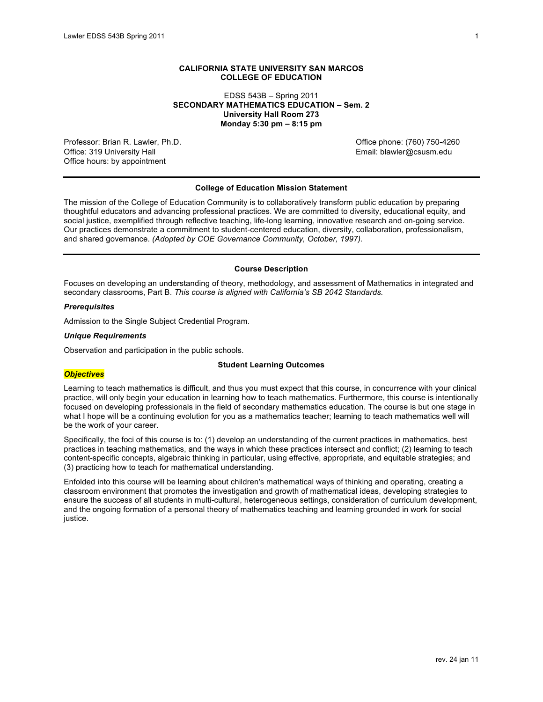# **CALIFORNIA STATE UNIVERSITY SAN MARCOS COLLEGE OF EDUCATION**

EDSS 543B – Spring 2011 **SECONDARY MATHEMATICS EDUCATION – Sem. 2 University Hall Room 273 Monday 5:30 pm – 8:15 pm**

Professor: Brian R. Lawler, Ph.D. Office phone: (760) 750-4260 Office: 319 University Hall **Email: blawler@csusm.edu** Email: blawler@csusm.edu Office hours: by appointment

# **College of Education Mission Statement**

The mission of the College of Education Community is to collaboratively transform public education by preparing thoughtful educators and advancing professional practices. We are committed to diversity, educational equity, and social justice, exemplified through reflective teaching, life-long learning, innovative research and on-going service. Our practices demonstrate a commitment to student-centered education, diversity, collaboration, professionalism, and shared governance. *(Adopted by COE Governance Community, October, 1997).*

# **Course Description**

Focuses on developing an understanding of theory, methodology, and assessment of Mathematics in integrated and secondary classrooms, Part B. *This course is aligned with California's SB 2042 Standards.*

# *Prerequisites*

Admission to the Single Subject Credential Program.

#### *Unique Requirements*

Observation and participation in the public schools.

# **Student Learning Outcomes**

#### *Objectives*

Learning to teach mathematics is difficult, and thus you must expect that this course, in concurrence with your clinical practice, will only begin your education in learning how to teach mathematics. Furthermore, this course is intentionally focused on developing professionals in the field of secondary mathematics education. The course is but one stage in what I hope will be a continuing evolution for you as a mathematics teacher; learning to teach mathematics well will be the work of your career.

Specifically, the foci of this course is to: (1) develop an understanding of the current practices in mathematics, best practices in teaching mathematics, and the ways in which these practices intersect and conflict; (2) learning to teach content-specific concepts, algebraic thinking in particular, using effective, appropriate, and equitable strategies; and (3) practicing how to teach for mathematical understanding.

Enfolded into this course will be learning about children's mathematical ways of thinking and operating, creating a classroom environment that promotes the investigation and growth of mathematical ideas, developing strategies to ensure the success of all students in multi-cultural, heterogeneous settings, consideration of curriculum development, and the ongoing formation of a personal theory of mathematics teaching and learning grounded in work for social justice.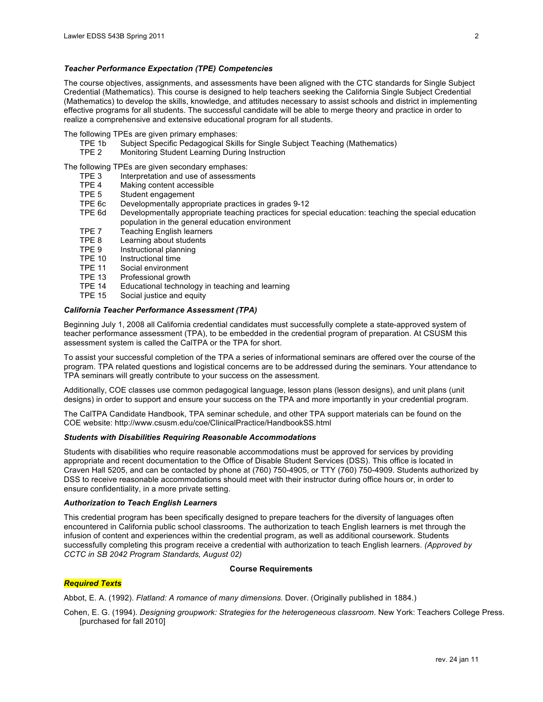# *Teacher Performance Expectation (TPE) Competencies*

The course objectives, assignments, and assessments have been aligned with the CTC standards for Single Subject Credential (Mathematics). This course is designed to help teachers seeking the California Single Subject Credential (Mathematics) to develop the skills, knowledge, and attitudes necessary to assist schools and district in implementing effective programs for all students. The successful candidate will be able to merge theory and practice in order to realize a comprehensive and extensive educational program for all students.

- The following TPEs are given primary emphases:
	- TPE 1b Subject Specific Pedagogical Skills for Single Subject Teaching (Mathematics)<br>TPE 2 Monitoring Student Learning During Instruction
		- Monitoring Student Learning During Instruction

The following TPEs are given secondary emphases:

- TPE 3 Interpretation and use of assessments<br>TPE 4 Making content accessible
- TPE 4 Making content accessible<br>TPE 5 Student engagement
- Student engagement
- TPE 6c Developmentally appropriate practices in grades 9-12
- TPE 6d Developmentally appropriate teaching practices for special education: teaching the special education population in the general education environment
- TPE 7 Teaching English learners
- 
- TPE 8 Learning about students<br>TPE 9 Instructional planning TPE 9 Instructional planning<br>TPE 10 Instructional time
- TPE 10 Instructional time<br>TPE 11 Social environme
- TPE 11 Social environment<br>TPE 13 Professional growth
- Professional growth
- TPE 14 Educational technology in teaching and learning
- TPE 15 Social justice and equity

# *California Teacher Performance Assessment (TPA)*

Beginning July 1, 2008 all California credential candidates must successfully complete a state-approved system of teacher performance assessment (TPA), to be embedded in the credential program of preparation. At CSUSM this assessment system is called the CalTPA or the TPA for short.

To assist your successful completion of the TPA a series of informational seminars are offered over the course of the program. TPA related questions and logistical concerns are to be addressed during the seminars. Your attendance to TPA seminars will greatly contribute to your success on the assessment.

Additionally, COE classes use common pedagogical language, lesson plans (lesson designs), and unit plans (unit designs) in order to support and ensure your success on the TPA and more importantly in your credential program.

The CalTPA Candidate Handbook, TPA seminar schedule, and other TPA support materials can be found on the COE website: http://www.csusm.edu/coe/ClinicalPractice/HandbookSS.html

#### *Students with Disabilities Requiring Reasonable Accommodations*

Students with disabilities who require reasonable accommodations must be approved for services by providing appropriate and recent documentation to the Office of Disable Student Services (DSS). This office is located in Craven Hall 5205, and can be contacted by phone at (760) 750-4905, or TTY (760) 750-4909. Students authorized by DSS to receive reasonable accommodations should meet with their instructor during office hours or, in order to ensure confidentiality, in a more private setting.

#### *Authorization to Teach English Learners*

This credential program has been specifically designed to prepare teachers for the diversity of languages often encountered in California public school classrooms. The authorization to teach English learners is met through the infusion of content and experiences within the credential program, as well as additional coursework. Students successfully completing this program receive a credential with authorization to teach English learners. *(Approved by CCTC in SB 2042 Program Standards, August 02)*

#### **Course Requirements**

#### *Required Texts*

Abbot, E. A. (1992). *Flatland: A romance of many dimensions.* Dover. (Originally published in 1884.)

Cohen, E. G. (1994). *Designing groupwork: Strategies for the heterogeneous classroom*. New York: Teachers College Press. [purchased for fall 2010]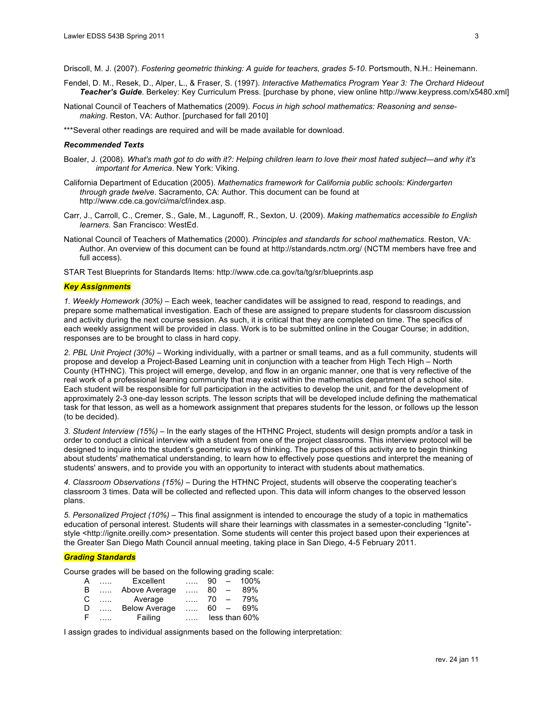Driscoll, M. J. (2007). *Fostering geometric thinking: A guide for teachers, grades 5-10*. Portsmouth, N.H.: Heinemann.

- Fendel, D. M., Resek, D., Alper, L., & Fraser, S. (1997). *Interactive Mathematics Program Year 3: The Orchard Hideout Teacher's Guide*. Berkeley: Key Curriculum Press. [purchase by phone, view online http://www.keypress.com/x5480.xml]
- National Council of Teachers of Mathematics (2009). *Focus in high school mathematics: Reasoning and sensemaking*. Reston, VA: Author. [purchased for fall 2010]
- \*\*\*Several other readings are required and will be made available for download.

#### *Recommended Texts*

- Boaler, J. (2008). *What's math got to do with it?: Helping children learn to love their most hated subject—and why it's important for America*. New York: Viking.
- California Department of Education (2005). *Mathematics framework for California public schools: Kindergarten through grade twelve*. Sacramento, CA: Author. This document can be found at http://www.cde.ca.gov/ci/ma/cf/index.asp.
- Carr, J., Carroll, C., Cremer, S., Gale, M., Lagunoff, R., Sexton, U. (2009). *Making mathematics accessible to English learners*. San Francisco: WestEd.
- National Council of Teachers of Mathematics (2000). *Principles and standards for school mathematics*. Reston, VA: Author. An overview of this document can be found at http://standards.nctm.org/ (NCTM members have free and full access).

STAR Test Blueprints for Standards Items: http://www.cde.ca.gov/ta/tg/sr/blueprints.asp

#### *Key Assignments*

*1. Weekly Homework (30%)* – Each week, teacher candidates will be assigned to read, respond to readings, and prepare some mathematical investigation. Each of these are assigned to prepare students for classroom discussion and activity during the next course session. As such, it is critical that they are completed on time. The specifics of each weekly assignment will be provided in class. Work is to be submitted online in the Cougar Course; in addition, responses are to be brought to class in hard copy.

*2. PBL Unit Project (30%)* – Working individually, with a partner or small teams, and as a full community, students will propose and develop a Project-Based Learning unit in conjunction with a teacher from High Tech High – North County (HTHNC). This project will emerge, develop, and flow in an organic manner, one that is very reflective of the real work of a professional learning community that may exist within the mathematics department of a school site. Each student will be responsible for full participation in the activities to develop the unit, and for the development of approximately 2-3 one-day lesson scripts. The lesson scripts that will be developed include defining the mathematical task for that lesson, as well as a homework assignment that prepares students for the lesson, or follows up the lesson (to be decided).

*3. Student Interview (15%)* – In the early stages of the HTHNC Project, students will design prompts and/or a task in order to conduct a clinical interview with a student from one of the project classrooms. This interview protocol will be designed to inquire into the student's geometric ways of thinking. The purposes of this activity are to begin thinking about students' mathematical understanding, to learn how to effectively pose questions and interpret the meaning of students' answers, and to provide you with an opportunity to interact with students about mathematics.

*4. Classroom Observations (15%)* – During the HTHNC Project, students will observe the cooperating teacher's classroom 3 times. Data will be collected and reflected upon. This data will inform changes to the observed lesson plans.

*5. Personalized Project (10%)* – This final assignment is intended to encourage the study of a topic in mathematics education of personal interest. Students will share their learnings with classmates in a semester-concluding "Ignite" style <http://ignite.oreilly.com> presentation. Some students will center this project based upon their experiences at the Greater San Diego Math Council annual meeting, taking place in San Diego, 4-5 February 2011.

### *Grading Standards*

Course grades will be based on the following grading scale:

| A | 1.1.1.1                              | Excellent            | $\cdots$ | 90     | $\sim$                   | 100%          |
|---|--------------------------------------|----------------------|----------|--------|--------------------------|---------------|
| B | 1.1.1                                | Above Average        | $\cdots$ | 80     | $\overline{\phantom{m}}$ | 89%           |
| C | $\ldots$ . The set of $\mathbb{R}^n$ | Average              | $\cdots$ | 70     | $\overline{\phantom{0}}$ | 79%           |
| D | 1.1.1.                               | <b>Below Average</b> | $\cdots$ | $60 -$ |                          | 69%           |
| E |                                      | Failing              |          |        |                          | less than 60% |

I assign grades to individual assignments based on the following interpretation: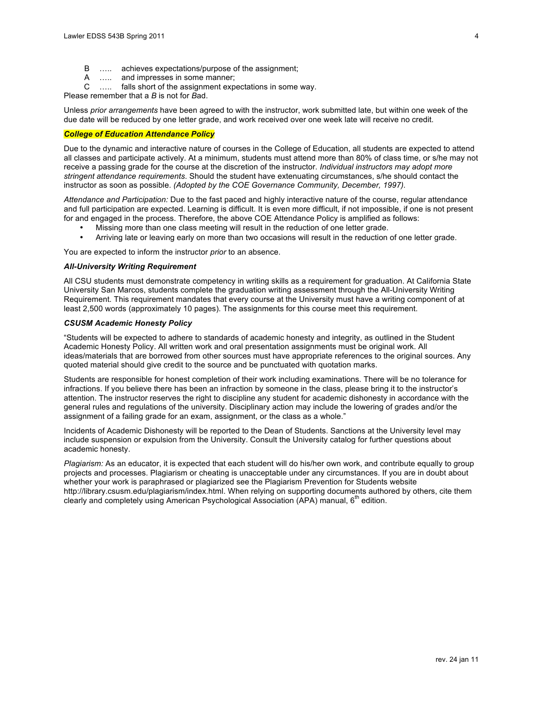- B ….. achieves expectations/purpose of the assignment;
- A ….. and impresses in some manner;
- C ….. falls short of the assignment expectations in some way.
- Please remember that a *B* is not for *B*ad.

Unless *prior arrangements* have been agreed to with the instructor, work submitted late, but within one week of the due date will be reduced by one letter grade, and work received over one week late will receive no credit.

# *College of Education Attendance Policy*

Due to the dynamic and interactive nature of courses in the College of Education, all students are expected to attend all classes and participate actively. At a minimum, students must attend more than 80% of class time, or s/he may not receive a passing grade for the course at the discretion of the instructor. *Individual instructors may adopt more stringent attendance requirements*. Should the student have extenuating circumstances, s/he should contact the instructor as soon as possible. *(Adopted by the COE Governance Community, December, 1997).*

*Attendance and Participation:* Due to the fast paced and highly interactive nature of the course, regular attendance and full participation are expected. Learning is difficult. It is even more difficult, if not impossible, if one is not present for and engaged in the process. Therefore, the above COE Attendance Policy is amplified as follows:

- Missing more than one class meeting will result in the reduction of one letter grade.
- Arriving late or leaving early on more than two occasions will result in the reduction of one letter grade.

You are expected to inform the instructor *prior* to an absence.

#### *All-University Writing Requirement*

All CSU students must demonstrate competency in writing skills as a requirement for graduation. At California State University San Marcos, students complete the graduation writing assessment through the All-University Writing Requirement. This requirement mandates that every course at the University must have a writing component of at least 2,500 words (approximately 10 pages). The assignments for this course meet this requirement.

# *CSUSM Academic Honesty Policy*

"Students will be expected to adhere to standards of academic honesty and integrity, as outlined in the Student Academic Honesty Policy. All written work and oral presentation assignments must be original work. All ideas/materials that are borrowed from other sources must have appropriate references to the original sources. Any quoted material should give credit to the source and be punctuated with quotation marks.

Students are responsible for honest completion of their work including examinations. There will be no tolerance for infractions. If you believe there has been an infraction by someone in the class, please bring it to the instructor's attention. The instructor reserves the right to discipline any student for academic dishonesty in accordance with the general rules and regulations of the university. Disciplinary action may include the lowering of grades and/or the assignment of a failing grade for an exam, assignment, or the class as a whole."

Incidents of Academic Dishonesty will be reported to the Dean of Students. Sanctions at the University level may include suspension or expulsion from the University. Consult the University catalog for further questions about academic honesty.

*Plagiarism:* As an educator, it is expected that each student will do his/her own work, and contribute equally to group projects and processes. Plagiarism or cheating is unacceptable under any circumstances. If you are in doubt about whether your work is paraphrased or plagiarized see the Plagiarism Prevention for Students website http://library.csusm.edu/plagiarism/index.html. When relying on supporting documents authored by others, cite them clearly and completely using American Psychological Association (APA) manual, 6<sup>th</sup> edition.